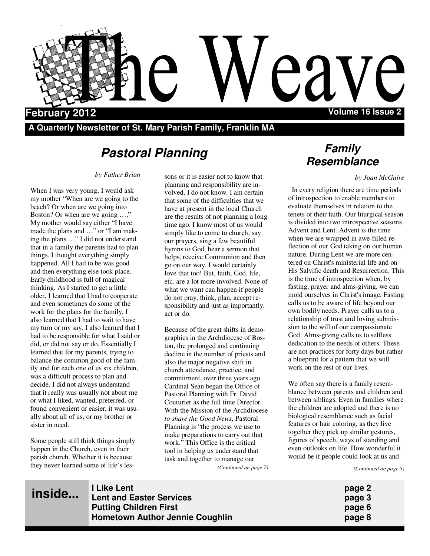

**A Quarterly Newsletter of St. Mary Parish Family, Franklin MA** 

# **Pastoral Planning**

#### *by Father Brian*

When I was very young, I would ask my mother "When are we going to the beach? Or when are we going into Boston? Or when are we going ...." My mother would say either "I have made the plans and …" or "I am making the plans …" I did not understand that in a family the parents had to plan things. I thought everything simply happened. All I had to be was good and then everything else took place. Early childhood is full of magical thinking. As I started to get a little older, I learned that I had to cooperate and even sometimes do some of the work for the plans for the family. I also learned that I had to wait to have my turn or my say. I also learned that I had to be responsible for what I said or did, or did not say or do. Essentially I learned that for my parents, trying to balance the common good of the family and for each one of us six children, was a difficult process to plan and decide. I did not always understand that it really was usually not about me or what I liked, wanted, preferred, or found convenient or easier, it was usually about all of us, or my brother or sister in need.

Some people still think things simply happen in the Church, even in their parish church. Whether it is because they never learned some of life's les-

sons or it is easier not to know that planning and responsibility are involved, I do not know. I am certain that some of the difficulties that we have at present in the local Church are the results of not planning a long time ago. I know most of us would simply like to come to church, say our prayers, sing a few beautiful hymns to God, hear a sermon that helps, receive Communion and then go on our way. I would certainly love that too! But, faith, God, life, etc. are a lot more involved. None of what we want can happen if people do not pray, think, plan, accept responsibility and just as importantly, act or do.

Because of the great shifts in demographics in the Archdiocese of Boston, the prolonged and continuing decline in the number of priests and also the major negative shift in church attendance, practice, and commitment, over three years ago Cardinal Sean began the Office of Pastoral Planning with Fr. David Couturier as the full time Director. With the Mission of the Archdiocese *to share the Good News*, Pastoral Planning is "the process we use to make preparations to carry out that work." This Office is the critical tool in helping us understand that task and together to manage our *(Continued on page 7)* 

# **Family Resemblance**

#### *by Joan McGuire*

 In every religion there are time periods of introspection to enable members to evaluate themselves in relation to the tenets of their faith. Our liturgical season is divided into two introspective seasons Advent and Lent. Advent is the time when we are wrapped in awe-filled reflection of our God taking on our human nature. During Lent we are more centered on Christ's ministerial life and on His Salvific death and Resurrection. This is the time of introspection when, by fasting, prayer and alms-giving, we can mold ourselves in Christ's image. Fasting calls us to be aware of life beyond our own bodily needs. Prayer calls us to a relationship of trust and loving submission to the will of our compassionate God. Alms-giving calls us to selfless dedication to the needs of others. These are not practices for forty days but rather a blueprint for a pattern that we will work on the rest of our lives.

We often say there is a family resemblance between parents and children and between siblings. Even in families where the children are adopted and there is no biological resemblance such as facial features or hair coloring, as they live together they pick up similar gestures, figures of speech, ways of standing and even outlooks on life. How wonderful it would be if people could look at us and

*(Continued on page 5)* 

**Hometown Author Jennie Coughlin** *page 8* 

**I Like Lent page 2 Lent and Easter Services** *Contract Contract Contract Contract Contract Contract Contract Contract Contract Contract Contract Contract Contract Contract Contract Contract Contract Contract Contract Contract Contract Cont* **Putting Children First page 6** *page 6* **inside...**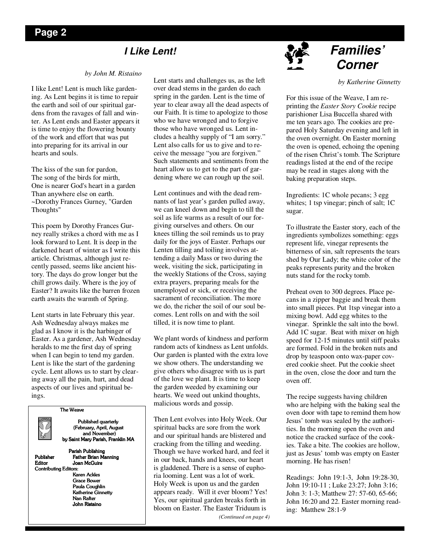## **I Like Lent!**

#### *by John M. Ristaino*

I like Lent! Lent is much like gardening. As Lent begins it is time to repair the earth and soil of our spiritual gardens from the ravages of fall and winter. As Lent ends and Easter appears it is time to enjoy the flowering bounty of the work and effort that was put into preparing for its arrival in our hearts and souls.

The kiss of the sun for pardon, The song of the birds for mirth, One is nearer God's heart in a garden Than anywhere else on earth. ~Dorothy Frances Gurney, "Garden Thoughts"

This poem by Dorothy Frances Gurney really strikes a chord with me as I look forward to Lent. It is deep in the darkened heart of winter as I write this article. Christmas, although just recently passed, seems like ancient history. The days do grow longer but the chill grows daily. Where is the joy of Easter? It awaits like the barren frozen earth awaits the warmth of Spring.

Lent starts in late February this year. Ash Wednesday always makes me glad as I know it is the harbinger of Easter. As a gardener, Ash Wednesday heralds to me the first day of spring when I can begin to tend my garden. Lent is like the start of the gardening cycle. Lent allows us to start by clearing away all the pain, hurt, and dead aspects of our lives and spiritual beings.

The Weave



Published quarterly (February, April, August (February, April, August and November) by Saint Mary Parish, Franklin MA

Contributing Editors:

Parish Publishing Publisher Father Brian Manning<br>Editor Joan McGuire Joan McGuire Karen Ackles Grace Bower Paula Coughlin Katherine Ginnetty Nan Rafter

John Ristaino John Ristaino Ristaino

Lent starts and challenges us, as the left over dead stems in the garden do each spring in the garden. Lent is the time of year to clear away all the dead aspects of our Faith. It is time to apologize to those who we have wronged and to forgive those who have wronged us. Lent includes a healthy supply of "I am sorry." Lent also calls for us to give and to receive the message "you are forgiven." Such statements and sentiments from the heart allow us to get to the part of gardening where we can rough up the soil.

Lent continues and with the dead remnants of last year's garden pulled away, we can kneel down and begin to till the soil as life warms as a result of our forgiving ourselves and others. On our knees tilling the soil reminds us to pray daily for the joys of Easter. Perhaps our Lenten tilling and toiling involves attending a daily Mass or two during the week, visiting the sick, participating in the weekly Stations of the Cross, saying extra prayers, preparing meals for the unemployed or sick, or receiving the sacrament of reconciliation. The more we do, the richer the soil of our soul becomes. Lent rolls on and with the soil tilled, it is now time to plant.

We plant words of kindness and perform random acts of kindness as Lent unfolds. Our garden is planted with the extra love we show others. The understanding we give others who disagree with us is part of the love we plant. It is time to keep the garden weeded by examining our hearts. We weed out unkind thoughts, malicious words and gossip.

Then Lent evolves into Holy Week. Our spiritual backs are sore from the work and our spiritual hands are blistered and cracking from the tilling and weeding. Though we have worked hard, and feel it in our back, hands and knees, our heart is gladdened. There is a sense of euphoria looming. Lent was a lot of work. Holy Week is upon us and the garden appears ready. Will it ever bloom? Yes! Yes, our spiritual garden breaks forth in bloom on Easter. The Easter Triduum is *(Continued on page 4)* 



# **Families' Corner**

#### *by Katherine Ginnetty*

For this issue of the Weave, I am reprinting the *Easter Story Cookie* recipe parishioner Lisa Buccella shared with me ten years ago. The cookies are prepared Holy Saturday evening and left in the oven overnight. On Easter morning the oven is opened, echoing the opening of the risen Christ's tomb. The Scripture readings listed at the end of the recipe may be read in stages along with the baking preparation steps.

Ingredients: 1C whole pecans; 3 egg whites; 1 tsp vinegar; pinch of salt; 1C sugar.

To illustrate the Easter story, each of the ingredients symbolizes something: eggs represent life, vinegar represents the bitterness of sin, salt represents the tears shed by Our Lady; the white color of the peaks represents purity and the broken nuts stand for the rocky tomb.

Preheat oven to 300 degrees. Place pecans in a zipper baggie and break them into small pieces. Put 1tsp vinegar into a mixing bowl. Add egg whites to the vinegar. Sprinkle the salt into the bowl. Add 1C sugar. Beat with mixer on high speed for 12-15 minutes until stiff peaks are formed. Fold in the broken nuts and drop by teaspoon onto wax-paper covered cookie sheet. Put the cookie sheet in the oven, close the door and turn the oven off.

The recipe suggests having children who are helping with the baking seal the oven door with tape to remind them how Jesus' tomb was sealed by the authorities. In the morning open the oven and notice the cracked surface of the cookies. Take a bite. The cookies are hollow, just as Jesus' tomb was empty on Easter morning. He has risen!

Readings: John 19:1-3, John 19:28-30, John 19:10-11 ; Luke 23:27; John 3:16; John 3: 1-3; Matthew 27: 57-60, 65-66; John 16:20 and 22. Easter morning reading: Matthew 28:1-9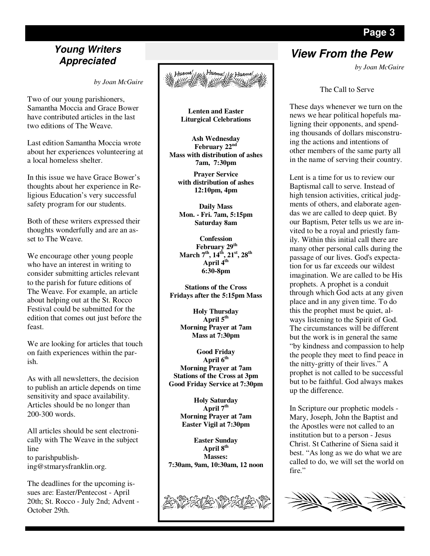# **Appreciated**

*by Joan McGuire* 

Two of our young parishioners, Samantha Moccia and Grace Bower have contributed articles in the last two editions of The Weave.

Last edition Samantha Moccia wrote about her experiences volunteering at a local homeless shelter.

In this issue we have Grace Bower's thoughts about her experience in Religious Education's very successful safety program for our students.

Both of these writers expressed their thoughts wonderfully and are an asset to The Weave.

We encourage other young people who have an interest in writing to consider submitting articles relevant to the parish for future editions of The Weave. For example, an article about helping out at the St. Rocco Festival could be submitted for the edition that comes out just before the feast.

We are looking for articles that touch on faith experiences within the parish.

As with all newsletters, the decision to publish an article depends on time sensitivity and space availability. Articles should be no longer than 200-300 words.

All articles should be sent electronically with The Weave in the subject line to parishpublishing@stmarysfranklin.org.

The deadlines for the upcoming issues are: Easter/Pentecost - April 20th; St. Rocco - July 2nd; Advent - October 29th.



**Lenten and Easter Liturgical Celebrations** 

**Ash Wednesday February 22nd Mass with distribution of ashes 7am, 7:30pm** 

**Prayer Service with distribution of ashes 12:10pm, 4pm** 

**Daily Mass Mon. - Fri. 7am, 5:15pm Saturday 8am** 

**Confession February 29th March 7th, 14th, 21st, 28th April 4th 6:30-8pm** 

**Stations of the Cross Fridays after the 5:15pm Mass** 

> **Holy Thursday April 5th Morning Prayer at 7am Mass at 7:30pm**

**Good Friday April 6th Morning Prayer at 7am Stations of the Cross at 3pm Good Friday Service at 7:30pm** 

> **Holy Saturday April 7th Morning Prayer at 7am Easter Vigil at 7:30pm**

**Easter Sunday April 8th Masses: 7:30am, 9am, 10:30am, 12 noon** 



# **View From the Pew Young Writers**

*by Joan McGuire* 

The Call to Serve

These days whenever we turn on the news we hear political hopefuls maligning their opponents, and spending thousands of dollars misconstruing the actions and intentions of other members of the same party all in the name of serving their country.

Lent is a time for us to review our Baptismal call to serve. Instead of high tension activities, critical judgments of others, and elaborate agendas we are called to deep quiet. By our Baptism, Peter tells us we are invited to be a royal and priestly family. Within this initial call there are many other personal calls during the passage of our lives. God's expectation for us far exceeds our wildest imagination. We are called to be His prophets. A prophet is a conduit through which God acts at any given place and in any given time. To do this the prophet must be quiet, always listening to the Spirit of God. The circumstances will be different but the work is in general the same "by kindness and compassion to help the people they meet to find peace in the nitty-gritty of their lives." A prophet is not called to be successful but to be faithful. God always makes up the difference.

In Scripture our prophetic models - Mary, Joseph, John the Baptist and the Apostles were not called to an institution but to a person - Jesus Christ. St Catherine of Siena said it best. "As long as we do what we are called to do, we will set the world on fire."

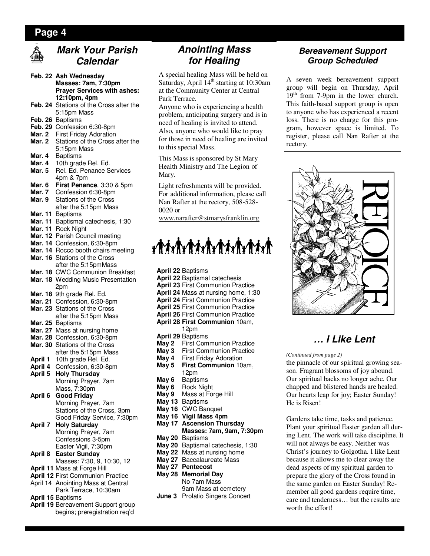#### **Page 4**



# **Mark Your Parish Calendar**

- **Feb. 22 Ash Wednesday Masses: 7am, 7:30pm Prayer Services with ashes: 12:10pm, 4pm**
- **Feb. 24** Stations of the Cross after the 5:15pm Mass
- **Feb. 26** Baptisms
- **Feb. 29** Confession 6:30-8pm
- **Mar. 2** First Friday Adoration
- **Mar. 2** Stations of the Cross after the 5:15pm Mass<br>Mar. 4 Baptisms
- Mar. 4 Baptisms<br>Mar. 4 10th grad
- **Mar. 4** 10th grade Rel. Ed.
- **Mar. 5** Rel. Ed. Penance Services 4pm & 7pm
- **Mar. 6 First Penance**, 3:30 & 5pm
- **Mar. 7** Confession 6:30-8pm
- **Mar. 9** Stations of the Cross after the 5:15pm Mass
- **Mar. 11** Baptisms
- **Mar. 11** Baptismal catechesis, 1:30
- **Mar. 11** Rock Night
- **Mar. 12** Parish Council meeting
- **Mar. 14** Confession, 6:30-8pm
- **Mar. 14** Rocco booth chairs meeting
- **Mar. 16** Stations of the Cross after the 5:15pmMass
- **Mar. 18** CWC Communion Breakfast
- **Mar. 18** Wedding Music Presentation 2pm
- **Mar. 18** 9th grade Rel. Ed.
- **Mar. 21** Confession, 6:30-8pm
- **Mar. 23** Stations of the Cross after the 5:15pm Mass
- **Mar. 25** Baptisms
- **Mar. 27** Mass at nursing home
- **Mar. 28** Confession, 6:30-8pm
- **Mar. 30** Stations of the Cross
- after the 5:15pm Mass<br>**April 1** 10th grade Rel. Ed. **April 1** 10th grade Rel. Ed.
- **April 4** Confession, 6:30-8pm
- **April 5 Holy Thursday**  Morning Prayer, 7am Mass, 7:30pm
- **April 6 Good Friday**  Morning Prayer, 7am Stations of the Cross, 3pm Good Friday Service, 7:30pm
- **April 7 Holy Saturday**  Morning Prayer, 7am Confessions 3-5pm
- Easter Vigil, 7:30pm **April 8 Easter Sunday**  Masses: 7:30, 9, 10:30, 12
- **April 11** Mass at Forge Hill
- **April 12** First Communion Practice
- April 14 Anointing Mass at Central Park Terrace, 10:30am
- **April 15** Baptisms
- **April 19** Bereavement Support group begins; preregistration req'd

# **Anointing Mass for Healing**

A special healing Mass will be held on Saturday, April  $14<sup>th</sup>$  starting at 10:30am at the Community Center at Central Park Terrace.

Anyone who is experiencing a health problem, anticipating surgery and is in need of healing is invited to attend. Also, anyone who would like to pray for those in need of healing are invited to this special Mass.

This Mass is sponsored by St Mary Health Ministry and The Legion of Mary.

Light refreshments will be provided. For additional information, please call Nan Rafter at the rectory, 508-528- 0020 or

www.narafter@stmarysfranklin.org

# 

**April 22** Baptisms **April 22** Baptismal catechesis **April 23** First Communion Practice **April 24** Mass at nursing home, 1:30 **April 24** First Communion Practice **April 25** First Communion Practice **April 26** First Communion Practice **April 28 First Communion** 10am, 12pm **April 29** Baptisms **May 2** First Communion Practice<br>**May 3** First Communion Practice **May 3** First Communion Practice<br>**May 4** First Friday Adoration **May 4** First Friday Adoration<br>**May 5** First Communion 10 **First Communion 10am.**  12pm **May 6** Baptisms **May 6** Rock Night **May 9** Mass at Forge Hill **May 13** Baptisms **May 16** CWC Banquet **May 16 Vigil Mass 4pm May 17 Ascension Thursday May 20** Baptisms **May 20** Baptismal catechesis, 1:30 **May 22** Mass at nursing home

- **Masses: 7am, 9am, 7:30pm**
- **May 27** Baccalaureate Mass
- **May 27 Pentecost**
- **May 28 Memorial Day**
- No 7am Mass 9am Mass at cemetery **June 3** Prolatio Singers Concert

#### **Bereavement Support Group Scheduled**

A seven week bereavement support group will begin on Thursday, April 19<sup>th</sup> from 7-9pm in the lower church. This faith-based support group is open to anyone who has experienced a recent loss. There is no charge for this program, however space is limited. To register, please call Nan Rafter at the rectory.



# **… I Like Lent**

*(Continued from page 2)* 

the pinnacle of our spiritual growing season. Fragrant blossoms of joy abound. Our spiritual backs no longer ache. Our chapped and blistered hands are healed. Our hearts leap for joy; Easter Sunday! He is Risen!

Gardens take time, tasks and patience. Plant your spiritual Easter garden all during Lent. The work will take discipline. It will not always be easy. Neither was Christ's journey to Golgotha. I like Lent because it allows me to clear away the dead aspects of my spiritual garden to prepare the glory of the Cross found in the same garden on Easter Sunday! Remember all good gardens require time, care and tenderness… but the results are worth the effort!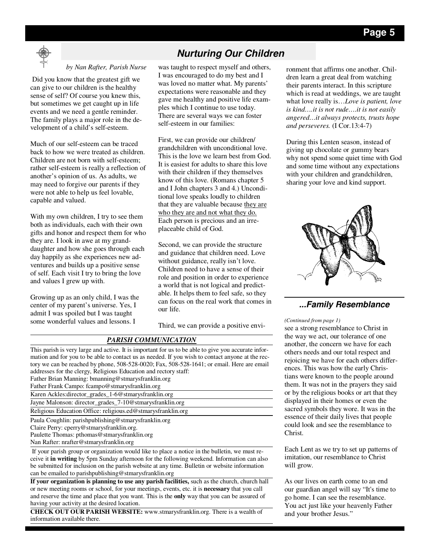

#### *by Nan Rafter, Parish Nurse*

 Did you know that the greatest gift we can give to our children is the healthy sense of self? Of course you knew this, but sometimes we get caught up in life events and we need a gentle reminder. The family plays a major role in the development of a child's self-esteem.

Much of our self-esteem can be traced back to how we were treated as children. Children are not born with self-esteem; rather self-esteem is really a reflection of another's opinion of us. As adults, we may need to forgive our parents if they were not able to help us feel lovable, capable and valued.

With my own children, I try to see them both as individuals, each with their own gifts and honor and respect them for who they are. I look in awe at my granddaughter and how she goes through each day happily as she experiences new adventures and builds up a positive sense of self. Each visit I try to bring the love and values I grew up with.

Growing up as an only child, I was the center of my parent's universe. Yes, I admit I was spoiled but I was taught some wonderful values and lessons. I

# **Nurturing Our Children**

was taught to respect myself and others, I was encouraged to do my best and I was loved no matter what. My parents' expectations were reasonable and they gave me healthy and positive life examples which I continue to use today. There are several ways we can foster self-esteem in our families:

First, we can provide our children/ grandchildren with unconditional love. This is the love we learn best from God. It is easiest for adults to share this love with their children if they themselves know of this love. (Romans chapter 5 and I John chapters 3 and 4.) Unconditional love speaks loudly to children that they are valuable because they are who they are and not what they do. Each person is precious and an irreplaceable child of God.

Second, we can provide the structure and guidance that children need. Love without guidance, really isn't love. Children need to have a sense of their role and position in order to experience a world that is not logical and predictable. It helps them to feel safe, so they can focus on the real work that comes in our life.

Third, we can provide a positive envi-<br>see a strong resemblance to Christ in

| This parish is very large and active. It is important for us to be able to give you accurate infor- |
|-----------------------------------------------------------------------------------------------------|
| mation and for you to be able to contact us as needed. If you wish to contact anyone at the rec-    |
| tory we can be reached by phone, 508-528-0020; Fax, 508-528-1641; or email. Here are email          |
| addresses for the clergy, Religious Education and rectory staff:                                    |
| Father Brian Manning: bmanning@stmarysfranklin.org                                                  |
| Father Frank Campo: fcampo@stmarysfranklin.org                                                      |
| Karen Ackles: director_grades_1-6@stmarysfranklin.org                                               |
| Jayne Malonson: director_grades_7-10@stmarysfranklin.org                                            |
| Religious Education Office: religious.ed@stmarysfranklin.org                                        |
| Paula Coughlin: parishpublishing@stmarysfranklin.org                                                |
| Claire Perry: cperry@stmarysfranklin.org.                                                           |
| Paulette Thomas: pthomas@stmarysfranklin.org                                                        |
| Nan Rafter: nrafter@stmarysfranklin.org                                                             |

*PARISH COMMUNICATION*

 If your parish group or organization would like to place a notice in the bulletin, we must receive it **in writing** by 5pm Sunday afternoon for the following weekend. Information can also be submitted for inclusion on the parish website at any time. Bulletin or website information can be emailed to parishpublishing@stmarysfranklin.org

**If your organization is planning to use any parish facilities,** such as the church, church hall or new meeting rooms or school, for your meetings, events, etc. it is **necessary** that you call and reserve the time and place that you want. This is the **only** way that you can be assured of having your activity at the desired location.

**CHECK OUT OUR PARISH WEBSITE:** www.stmarysfranklin.org. There is a wealth of information available there.

ronment that affirms one another. Children learn a great deal from watching their parents interact. In this scripture which is read at weddings, we are taught what love really is…*Love is patient, love is kind….it is not rude….it is not easily angered…it always protects, trusts hope and perseveres.* (I Cor.13:4-7)

During this Lenten season, instead of giving up chocolate or gummy bears why not spend some quiet time with God and some time without any expectations with your children and grandchildren, sharing your love and kind support.



#### **...Family Resemblance**

#### *(Continued from page 1)*

the way we act, our tolerance of one another, the concern we have for each others needs and our total respect and rejoicing we have for each others differences. This was how the early Christians were known to the people around them. It was not in the prayers they said or by the religious books or art that they displayed in their homes or even the sacred symbols they wore. It was in the essence of their daily lives that people could look and see the resemblance to Christ.

Each Lent as we try to set up patterns of imitation, our resemblance to Christ will grow.

As our lives on earth come to an end our guardian angel will say "It's time to go home. I can see the resemblance. You act just like your heavenly Father and your brother Jesus."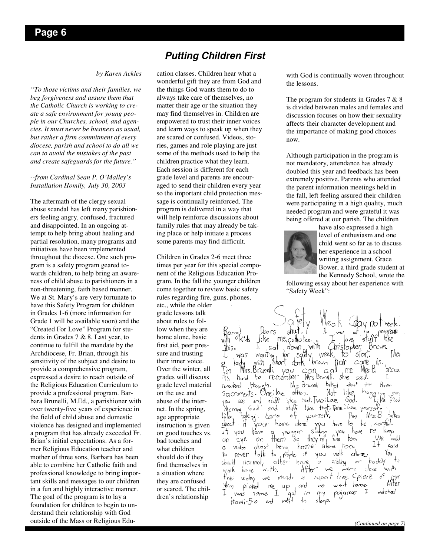#### *by Karen Ackles*

*"To those victims and their families, we beg forgiveness and assure them that the Catholic Church is working to create a safe environment for young people in our Churches, school, and agencies. It must never be business as usual, but rather a firm commitment of every diocese, parish and school to do all we can to avoid the mistakes of the past and create safeguards for the future."* 

*--from Cardinal Sean P. O'Malley's Installation Homily, July 30, 2003* 

The aftermath of the clergy sexual abuse scandal has left many parishioners feeling angry, confused, fractured and disappointed. In an ongoing attempt to help bring about healing and partial resolution, many programs and initiatives have been implemented throughout the diocese. One such program is a safety program geared towards children, to help bring an awareness of child abuse to parishioners in a non-threatening, faith based manner. We at St. Mary's are very fortunate to have this Safety Program for children in Grades 1-6 (more information for Grade 1 will be available soon) and the "Created For Love" Program for students in Grades 7 & 8. Last year, to continue to fulfill the mandate by the Archdiocese, Fr. Brian, through his sensitivity of the subject and desire to provide a comprehensive program, expressed a desire to reach outside of the Religious Education Curriculum to provide a professional program. Barbara Brunelli, M.Ed., a parishioner with over twenty-five years of experience in the field of child abuse and domestic violence has designed and implemented a program that has already exceeded Fr. Brian's initial expectations. As a former Religious Education teacher and mother of three sons, Barbara has been able to combine her Catholic faith and professional knowledge to bring important skills and messages to our children in a fun and highly interactive manner. The goal of the program is to lay a foundation for children to begin to understand their relationship with God outside of the Mass or Religious Edu-

## **Putting Children First**

cation classes. Children hear what a wonderful gift they are from God and the things God wants them to do to always take care of themselves, no matter their age or the situation they may find themselves in. Children are empowered to trust their inner voices and learn ways to speak up when they are scared or confused. Videos, stories, games and role playing are just some of the methods used to help the children practice what they learn. Each session is different for each grade level and parents are encouraged to send their children every year so the important child protection message is continually reinforced. The program is delivered in a way that will help reinforce discussions about family rules that may already be taking place or help initiate a process some parents may find difficult.

Children in Grades 2-6 meet three times per year for this special component of the Religious Education Program. In the fall the younger children come together to review basic safety rules regarding fire, guns, phones, etc., while the older grade lessons talk about rules to follow when they are home alone, basic first aid, peer presthis. sure and trusting their inner voice. Over the winter, all m grades will discuss its. grade level material renembered on the use and abuse of the interyou net. In the spring, Like. age appropriate about instruction is given TŁ. on good touches vs.  $\circ$ bad touches and  $\alpha$ what children <sup>t</sup>o should do if they shadd find themselves in walk a situation where the they are confused  $M_{C, q}$ or scared. The chil- $\mathcal{I}$ dren's relationship

with God is continually woven throughout the lessons.

The program for students in Grades  $7 & 8$ is divided between males and females and discussion focuses on how their sexuality affects their character development and the importance of making good choices now.

Although participation in the program is not mandatory, attendance has already doubled this year and feedback has been extremely positive. Parents who attended the parent information meetings held in the fall, left feeling assured their children were participating in a high quality, much needed program and were grateful it was being offered at our parish. The children



have also expressed a high level of enthusiasm and one child went so far as to discuss her experience in a school writing assignment. Grace Bower, a third grade student at the Kennedy School, wrote the

following essay about her experience with "Safety Week":

me catholics. Kids l:ke Kke Brown. down with hnstopher Sat  $\int_{\text{dof}}$ wgitting र्डाव्ता. Thei week, to was  $brown$ har cane  $in.$ with "short dorK Mrs. Brandli  $M<sub>5</sub>$ . $\beta$ . becau. me. vou can.  $\epsilon$ all hord remember Mrs.Brunelli. She said.  $\diamond$ 1 Mcs. Brunelli  $t_4$  $t_2$ though. dant  $H$ thrae.  $h_{\alpha q}$  $N<sub>of</sub>$ Oneilor others. like  $s_{\alpha}$ craments.  $\sigma_{\rm cool}$ God. staff like that wo love sœ  $\Delta$   $\sim$ stuff like that. Three Love yourself.  $God$  $\partial$ Morning yarsett,  $\rightarrow$ Then Mrs. B talkea tak ni  $\epsilon$ ił your home alone' have to be coreful. PU.  $\delta \hat{h}_{\text{ing}}^{\text{out}}$  $h$ ave you you have to keop younger  $\alpha$  $\hat{E}_{\text{ref}}$  $\int_0^{\infty}$ them  $\dagger$ oo. We. eye  $\mathcal{O} \cap$ Šо Ił about beind  $h$ ome alone too. sa:d video you  $|a|$ to reople You walk never  $\mathcal{F}$  $\mathsf{c}_1$  $\varepsilon$ ibling to  $b$ uddy 'a  $ncrmol<sub>y</sub>$ either have. with.  $\partial$ o æ with After we borne export tree Spiece гS  $A$ fter video  $w_{\text{c}}$ Made  $\mathcal{L}_\mathrm{f}$ went me  $\alpha$ d home. picked we  $qp$  $\gamma$ pojamas I watched home  $\mathcal{L}$  $W45$ aol sleep.  $Hawi-5$ -0  $\frac{1}{2}$ ard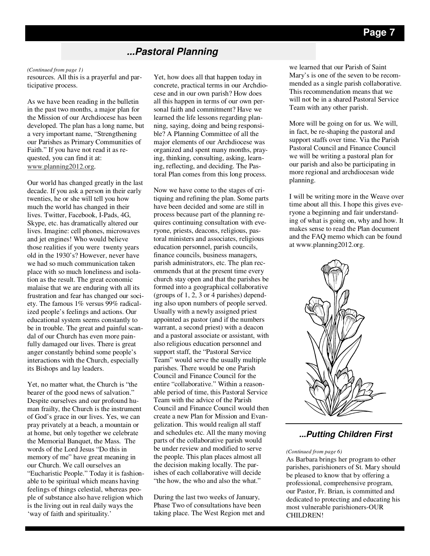# **...Pastoral Planning**

#### *(Continued from page 1)*

resources. All this is a prayerful and participative process.

As we have been reading in the bulletin in the past two months, a major plan for the Mission of our Archdiocese has been developed. The plan has a long name, but a very important name, "Strengthening our Parishes as Primary Communities of Faith." If you have not read it as requested, you can find it at: www.planning2012.org.

Our world has changed greatly in the last decade. If you ask a person in their early twenties, he or she will tell you how much the world has changed in their lives. Twitter, Facebook, I-Pads, 4G, Skype, etc. has dramatically altered our lives. Imagine: cell phones, microwaves and jet engines! Who would believe those realities if you were twenty years old in the 1930's? However, never have we had so much communication taken place with so much loneliness and isolation as the result. The great economic malaise that we are enduring with all its frustration and fear has changed our society. The famous 1% versus 99% radicalized people's feelings and actions. Our educational system seems constantly to be in trouble. The great and painful scandal of our Church has even more painfully damaged our lives. There is great anger constantly behind some people's interactions with the Church, especially its Bishops and lay leaders.

Yet, no matter what, the Church is "the bearer of the good news of salvation." Despite ourselves and our profound human frailty, the Church is the instrument of God's grace in our lives. Yes, we can pray privately at a beach, a mountain or at home, but only together we celebrate the Memorial Banquet, the Mass. The words of the Lord Jesus "Do this in memory of me" have great meaning in our Church. We call ourselves an "Eucharistic People." Today it is fashionable to be spiritual which means having feelings of things celestial, whereas people of substance also have religion which is the living out in real daily ways the 'way of faith and spirituality.'

Yet, how does all that happen today in concrete, practical terms in our Archdiocese and in our own parish? How does all this happen in terms of our own personal faith and commitment? Have we learned the life lessons regarding planning, saying, doing and being responsible? A Planning Committee of all the major elements of our Archdiocese was organized and spent many months, praying, thinking, consulting, asking, learning, reflecting, and deciding. The Pastoral Plan comes from this long process.

Now we have come to the stages of critiquing and refining the plan. Some parts have been decided and some are still in process because part of the planning requires continuing consultation with everyone, priests, deacons, religious, pastoral ministers and associates, religious education personnel, parish councils, finance councils, business managers, parish administrators, etc. The plan recommends that at the present time every church stay open and that the parishes be formed into a geographical collaborative (groups of 1, 2, 3 or 4 parishes) depending also upon numbers of people served. Usually with a newly assigned priest appointed as pastor (and if the numbers warrant, a second priest) with a deacon and a pastoral associate or assistant, with also religious education personnel and support staff, the "Pastoral Service Team" would serve the usually multiple parishes. There would be one Parish Council and Finance Council for the entire "collaborative." Within a reasonable period of time, this Pastoral Service Team with the advice of the Parish Council and Finance Council would then create a new Plan for Mission and Evangelization. This would realign all staff and schedules etc. All the many moving parts of the collaborative parish would be under review and modified to serve the people. This plan places almost all the decision making locally. The parishes of each collaborative will decide "the how, the who and also the what."

During the last two weeks of January, Phase Two of consultations have been taking place. The West Region met and we learned that our Parish of Saint Mary's is one of the seven to be recommended as a single parish collaborative. This recommendation means that we will not be in a shared Pastoral Service Team with any other parish.

More will be going on for us. We will, in fact, be re-shaping the pastoral and support staffs over time. Via the Parish Pastoral Council and Finance Council we will be writing a pastoral plan for our parish and also be participating in more regional and archdiocesan wide planning.

I will be writing more in the Weave over time about all this. I hope this gives everyone a beginning and fair understanding of what is going on, why and how. It makes sense to read the Plan document and the FAQ memo which can be found at www.planning2012.org.



#### **...Putting Children First**

#### *(Continued from page 6)*

As Barbara brings her program to other parishes, parishioners of St. Mary should be pleased to know that by offering a professional, comprehensive program, our Pastor, Fr. Brian, is committed and dedicated to protecting and educating his most vulnerable parishioners-OUR CHILDREN!